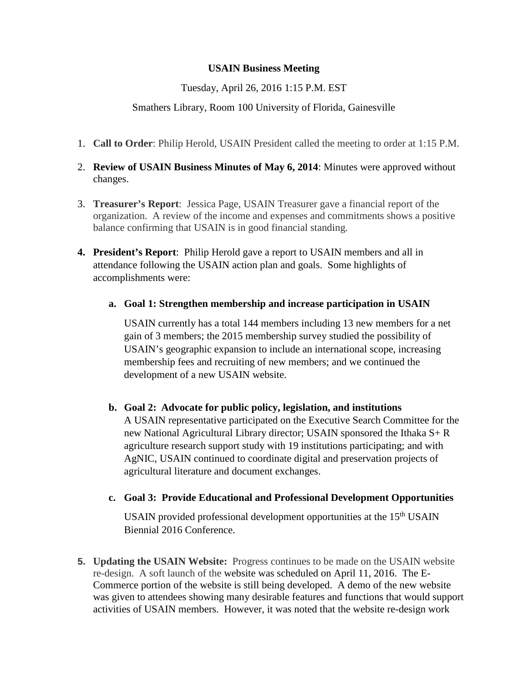## **USAIN Business Meeting**

Tuesday, April 26, 2016 1:15 P.M. EST

## Smathers Library, Room 100 University of Florida, Gainesville

- 1. **Call to Order**: Philip Herold, USAIN President called the meeting to order at 1:15 P.M.
- 2. **Review of USAIN Business Minutes of May 6, 2014**: Minutes were approved without changes.
- 3. **Treasurer's Report**: Jessica Page, USAIN Treasurer gave a financial report of the organization. A review of the income and expenses and commitments shows a positive balance confirming that USAIN is in good financial standing.
- **4. President's Report**: Philip Herold gave a report to USAIN members and all in attendance following the USAIN action plan and goals. Some highlights of accomplishments were:
	- **a. Goal 1: Strengthen membership and increase participation in USAIN**

USAIN currently has a total 144 members including 13 new members for a net gain of 3 members; the 2015 membership survey studied the possibility of USAIN's geographic expansion to include an international scope, increasing membership fees and recruiting of new members; and we continued the development of a new USAIN website.

**b. Goal 2: Advocate for public policy, legislation, and institutions** A USAIN representative participated on the Executive Search Committee for the new National Agricultural Library director; USAIN sponsored the Ithaka S+ R agriculture research support study with 19 institutions participating; and with AgNIC, USAIN continued to coordinate digital and preservation projects of agricultural literature and document exchanges.

## **c. Goal 3: Provide Educational and Professional Development Opportunities**

USAIN provided professional development opportunities at the 15<sup>th</sup> USAIN Biennial 2016 Conference.

**5. Updating the USAIN Website:** Progress continues to be made on the USAIN website re-design. A soft launch of the website was scheduled on April 11, 2016. The E-Commerce portion of the website is still being developed. A demo of the new website was given to attendees showing many desirable features and functions that would support activities of USAIN members. However, it was noted that the website re-design work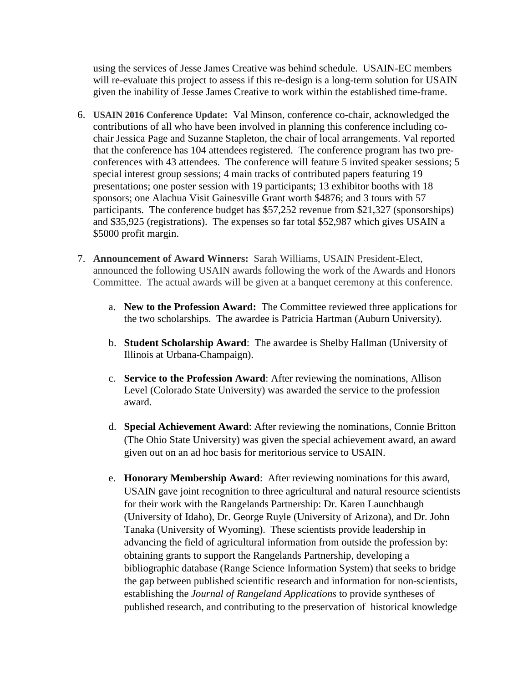using the services of Jesse James Creative was behind schedule. USAIN-EC members will re-evaluate this project to assess if this re-design is a long-term solution for USAIN given the inability of Jesse James Creative to work within the established time-frame.

- 6. **USAIN 2016 Conference Update:** Val Minson, conference co-chair, acknowledged the contributions of all who have been involved in planning this conference including cochair Jessica Page and Suzanne Stapleton, the chair of local arrangements. Val reported that the conference has 104 attendees registered. The conference program has two preconferences with 43 attendees. The conference will feature 5 invited speaker sessions; 5 special interest group sessions; 4 main tracks of contributed papers featuring 19 presentations; one poster session with 19 participants; 13 exhibitor booths with 18 sponsors; one Alachua Visit Gainesville Grant worth \$4876; and 3 tours with 57 participants. The conference budget has \$57,252 revenue from \$21,327 (sponsorships) and \$35,925 (registrations). The expenses so far total \$52,987 which gives USAIN a \$5000 profit margin.
- 7. **Announcement of Award Winners:** Sarah Williams, USAIN President-Elect, announced the following USAIN awards following the work of the Awards and Honors Committee. The actual awards will be given at a banquet ceremony at this conference.
	- a. **New to the Profession Award:** The Committee reviewed three applications for the two scholarships. The awardee is Patricia Hartman (Auburn University).
	- b. **Student Scholarship Award**: The awardee is Shelby Hallman (University of Illinois at Urbana-Champaign).
	- c. **Service to the Profession Award**: After reviewing the nominations, Allison Level (Colorado State University) was awarded the service to the profession award.
	- d. **Special Achievement Award**: After reviewing the nominations, Connie Britton (The Ohio State University) was given the special achievement award, an award given out on an ad hoc basis for meritorious service to USAIN.
	- e. **Honorary Membership Award**: After reviewing nominations for this award, USAIN gave joint recognition to three agricultural and natural resource scientists for their work with the Rangelands Partnership: Dr. Karen Launchbaugh (University of Idaho), Dr. George Ruyle (University of Arizona), and Dr. John Tanaka (University of Wyoming). These scientists provide leadership in advancing the field of agricultural information from outside the profession by: obtaining grants to support the Rangelands Partnership, developing a bibliographic database (Range Science Information System) that seeks to bridge the gap between published scientific research and information for non-scientists, establishing the *Journal of Rangeland Applications* to provide syntheses of published research, and contributing to the preservation of historical knowledge